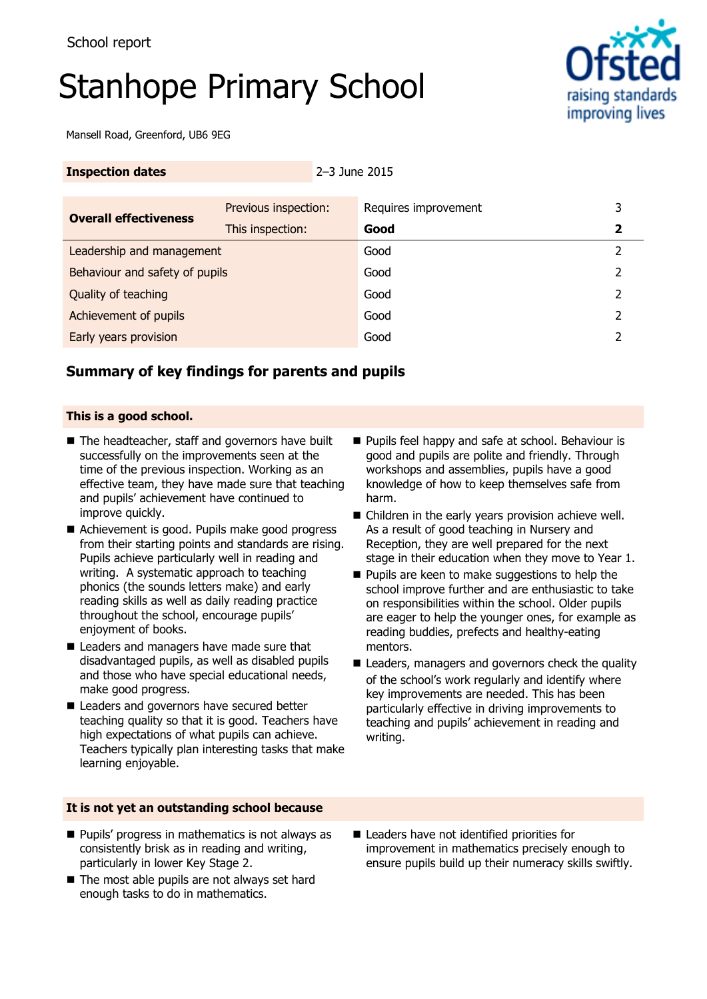# Stanhope Primary School



Mansell Road, Greenford, UB6 9EG

| <b>Inspection dates</b> | $2 - 3$ June 2015 |
|-------------------------|-------------------|
|                         |                   |

| <b>Overall effectiveness</b>   | Previous inspection: | Requires improvement | 3 |
|--------------------------------|----------------------|----------------------|---|
|                                | This inspection:     | Good                 |   |
| Leadership and management      |                      | Good                 |   |
| Behaviour and safety of pupils |                      | Good                 | 2 |
| Quality of teaching            |                      | Good                 | 2 |
| Achievement of pupils          |                      | Good                 |   |
| Early years provision          |                      | Good                 |   |

## **Summary of key findings for parents and pupils**

#### **This is a good school.**

- The headteacher, staff and governors have built successfully on the improvements seen at the time of the previous inspection. Working as an effective team, they have made sure that teaching and pupils' achievement have continued to improve quickly.
- Achievement is good. Pupils make good progress from their starting points and standards are rising. Pupils achieve particularly well in reading and writing. A systematic approach to teaching phonics (the sounds letters make) and early reading skills as well as daily reading practice throughout the school, encourage pupils' enjoyment of books.
- Leaders and managers have made sure that disadvantaged pupils, as well as disabled pupils and those who have special educational needs, make good progress.
- Leaders and governors have secured better teaching quality so that it is good. Teachers have high expectations of what pupils can achieve. Teachers typically plan interesting tasks that make learning enjoyable.

#### **It is not yet an outstanding school because**

- $\blacksquare$  Pupils' progress in mathematics is not always as consistently brisk as in reading and writing, particularly in lower Key Stage 2.
- $\blacksquare$  The most able pupils are not always set hard enough tasks to do in mathematics.
- **Pupils feel happy and safe at school. Behaviour is** good and pupils are polite and friendly. Through workshops and assemblies, pupils have a good knowledge of how to keep themselves safe from harm.
- Children in the early years provision achieve well. As a result of good teaching in Nursery and Reception, they are well prepared for the next stage in their education when they move to Year 1.
- **Pupils are keen to make suggestions to help the** school improve further and are enthusiastic to take on responsibilities within the school. Older pupils are eager to help the younger ones, for example as reading buddies, prefects and healthy-eating mentors.
- Leaders, managers and governors check the quality of the school's work regularly and identify where key improvements are needed. This has been particularly effective in driving improvements to teaching and pupils' achievement in reading and writing.
- Leaders have not identified priorities for improvement in mathematics precisely enough to ensure pupils build up their numeracy skills swiftly.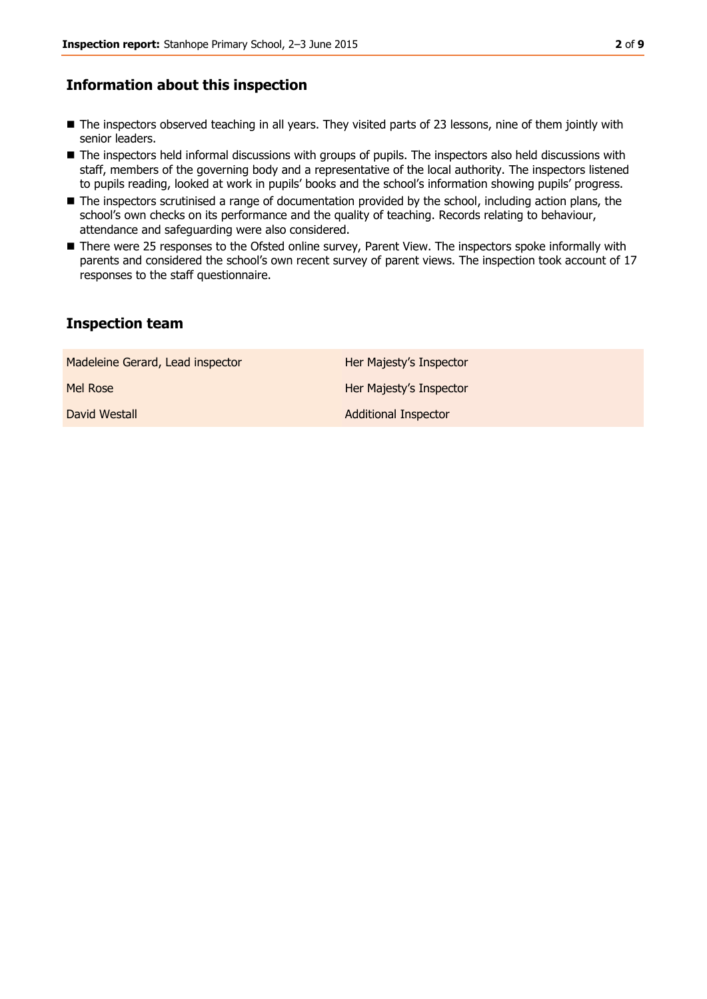### **Information about this inspection**

- The inspectors observed teaching in all years. They visited parts of 23 lessons, nine of them jointly with senior leaders.
- $\blacksquare$  The inspectors held informal discussions with groups of pupils. The inspectors also held discussions with staff, members of the governing body and a representative of the local authority. The inspectors listened to pupils reading, looked at work in pupils' books and the school's information showing pupils' progress.
- The inspectors scrutinised a range of documentation provided by the school, including action plans, the school's own checks on its performance and the quality of teaching. Records relating to behaviour, attendance and safeguarding were also considered.
- There were 25 responses to the Ofsted online survey, Parent View. The inspectors spoke informally with parents and considered the school's own recent survey of parent views. The inspection took account of 17 responses to the staff questionnaire.

#### **Inspection team**

| Madeleine Gerard, Lead inspector | Her Majesty's Inspector     |
|----------------------------------|-----------------------------|
| Mel Rose                         | Her Majesty's Inspector     |
| David Westall                    | <b>Additional Inspector</b> |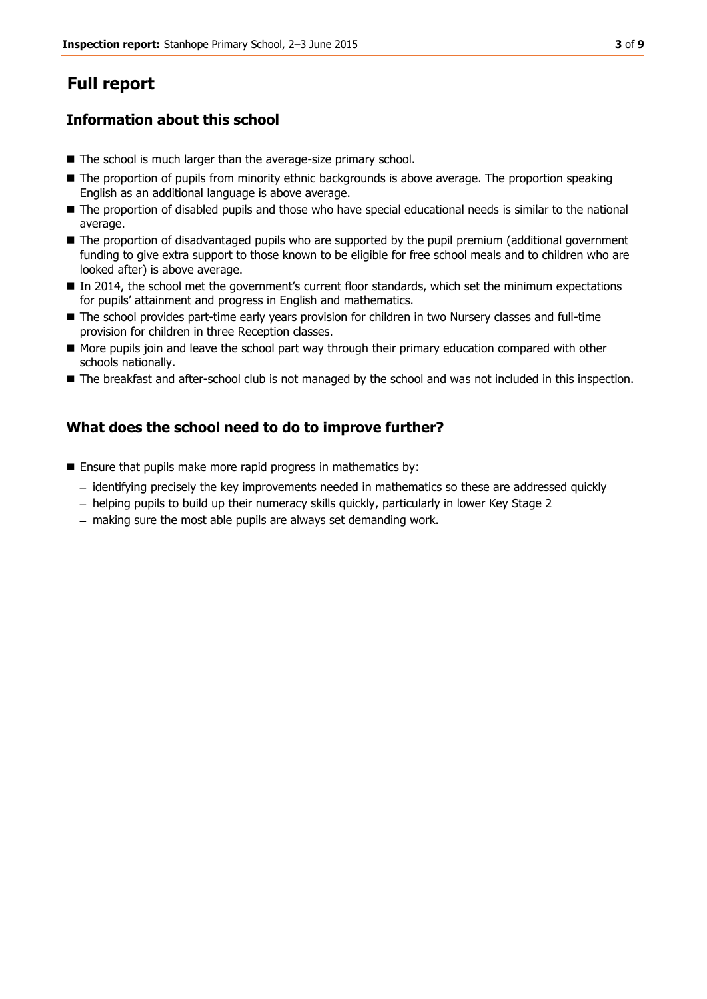# **Full report**

# **Information about this school**

- The school is much larger than the average-size primary school.
- The proportion of pupils from minority ethnic backgrounds is above average. The proportion speaking English as an additional language is above average.
- The proportion of disabled pupils and those who have special educational needs is similar to the national average.
- The proportion of disadvantaged pupils who are supported by the pupil premium (additional government funding to give extra support to those known to be eligible for free school meals and to children who are looked after) is above average.
- In 2014, the school met the government's current floor standards, which set the minimum expectations for pupils' attainment and progress in English and mathematics.
- The school provides part-time early years provision for children in two Nursery classes and full-time provision for children in three Reception classes.
- More pupils join and leave the school part way through their primary education compared with other schools nationally.
- The breakfast and after-school club is not managed by the school and was not included in this inspection.

# **What does the school need to do to improve further?**

- **Ensure that pupils make more rapid progress in mathematics by:** 
	- identifying precisely the key improvements needed in mathematics so these are addressed quickly
	- helping pupils to build up their numeracy skills quickly, particularly in lower Key Stage 2
	- making sure the most able pupils are always set demanding work.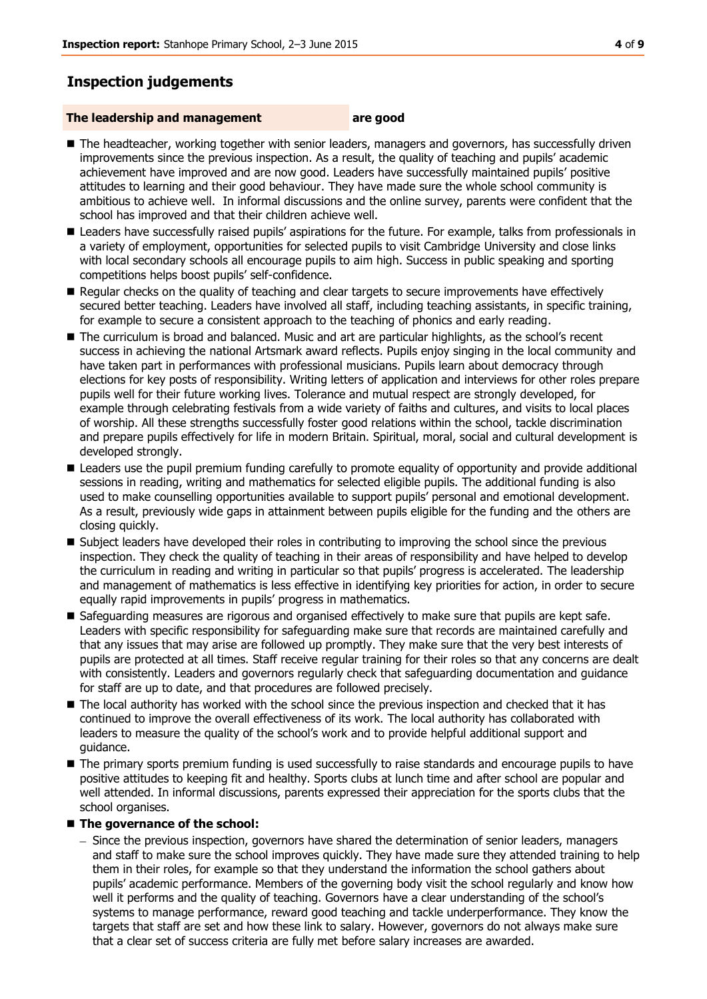# **Inspection judgements**

#### **The leadership and management are good**

- The headteacher, working together with senior leaders, managers and governors, has successfully driven improvements since the previous inspection. As a result, the quality of teaching and pupils' academic achievement have improved and are now good. Leaders have successfully maintained pupils' positive attitudes to learning and their good behaviour. They have made sure the whole school community is ambitious to achieve well. In informal discussions and the online survey, parents were confident that the school has improved and that their children achieve well.
- **Leaders have successfully raised pupils' aspirations for the future. For example, talks from professionals in** a variety of employment, opportunities for selected pupils to visit Cambridge University and close links with local secondary schools all encourage pupils to aim high. Success in public speaking and sporting competitions helps boost pupils' self-confidence.
- Regular checks on the quality of teaching and clear targets to secure improvements have effectively secured better teaching. Leaders have involved all staff, including teaching assistants, in specific training, for example to secure a consistent approach to the teaching of phonics and early reading.
- The curriculum is broad and balanced. Music and art are particular highlights, as the school's recent success in achieving the national Artsmark award reflects. Pupils enjoy singing in the local community and have taken part in performances with professional musicians. Pupils learn about democracy through elections for key posts of responsibility. Writing letters of application and interviews for other roles prepare pupils well for their future working lives. Tolerance and mutual respect are strongly developed, for example through celebrating festivals from a wide variety of faiths and cultures, and visits to local places of worship. All these strengths successfully foster good relations within the school, tackle discrimination and prepare pupils effectively for life in modern Britain. Spiritual, moral, social and cultural development is developed strongly.
- **Leaders use the pupil premium funding carefully to promote equality of opportunity and provide additional** sessions in reading, writing and mathematics for selected eligible pupils. The additional funding is also used to make counselling opportunities available to support pupils' personal and emotional development. As a result, previously wide gaps in attainment between pupils eligible for the funding and the others are closing quickly.
- Subject leaders have developed their roles in contributing to improving the school since the previous inspection. They check the quality of teaching in their areas of responsibility and have helped to develop the curriculum in reading and writing in particular so that pupils' progress is accelerated. The leadership and management of mathematics is less effective in identifying key priorities for action, in order to secure equally rapid improvements in pupils' progress in mathematics.
- Safeguarding measures are rigorous and organised effectively to make sure that pupils are kept safe. Leaders with specific responsibility for safeguarding make sure that records are maintained carefully and that any issues that may arise are followed up promptly. They make sure that the very best interests of pupils are protected at all times. Staff receive regular training for their roles so that any concerns are dealt with consistently. Leaders and governors regularly check that safeguarding documentation and guidance for staff are up to date, and that procedures are followed precisely.
- $\blacksquare$  The local authority has worked with the school since the previous inspection and checked that it has continued to improve the overall effectiveness of its work. The local authority has collaborated with leaders to measure the quality of the school's work and to provide helpful additional support and guidance.
- $\blacksquare$  The primary sports premium funding is used successfully to raise standards and encourage pupils to have positive attitudes to keeping fit and healthy. Sports clubs at lunch time and after school are popular and well attended. In informal discussions, parents expressed their appreciation for the sports clubs that the school organises.

#### ■ The governance of the school:

- Since the previous inspection, governors have shared the determination of senior leaders, managers and staff to make sure the school improves quickly. They have made sure they attended training to help them in their roles, for example so that they understand the information the school gathers about pupils' academic performance. Members of the governing body visit the school regularly and know how well it performs and the quality of teaching. Governors have a clear understanding of the school's systems to manage performance, reward good teaching and tackle underperformance. They know the targets that staff are set and how these link to salary. However, governors do not always make sure that a clear set of success criteria are fully met before salary increases are awarded.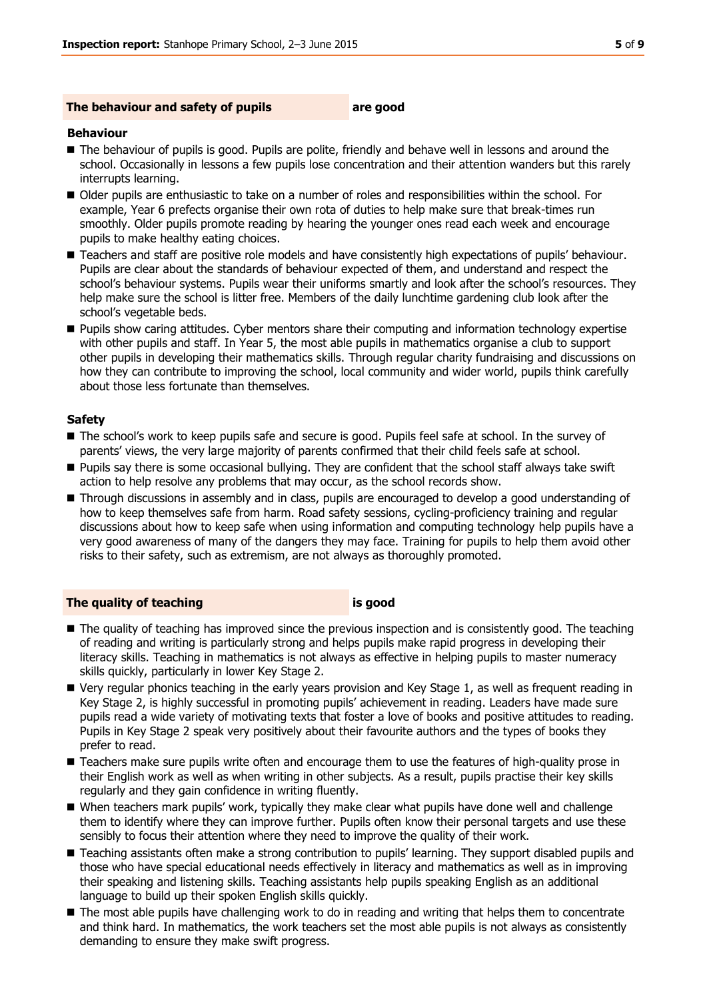#### **The behaviour and safety of pupils are good**

#### **Behaviour**

- The behaviour of pupils is good. Pupils are polite, friendly and behave well in lessons and around the school. Occasionally in lessons a few pupils lose concentration and their attention wanders but this rarely interrupts learning.
- Older pupils are enthusiastic to take on a number of roles and responsibilities within the school. For example, Year 6 prefects organise their own rota of duties to help make sure that break-times run smoothly. Older pupils promote reading by hearing the younger ones read each week and encourage pupils to make healthy eating choices.
- Teachers and staff are positive role models and have consistently high expectations of pupils' behaviour. Pupils are clear about the standards of behaviour expected of them, and understand and respect the school's behaviour systems. Pupils wear their uniforms smartly and look after the school's resources. They help make sure the school is litter free. Members of the daily lunchtime gardening club look after the school's vegetable beds.
- **Pupils show caring attitudes. Cyber mentors share their computing and information technology expertise** with other pupils and staff. In Year 5, the most able pupils in mathematics organise a club to support other pupils in developing their mathematics skills. Through regular charity fundraising and discussions on how they can contribute to improving the school, local community and wider world, pupils think carefully about those less fortunate than themselves.

#### **Safety**

- The school's work to keep pupils safe and secure is good. Pupils feel safe at school. In the survey of parents' views, the very large majority of parents confirmed that their child feels safe at school.
- Pupils say there is some occasional bullying. They are confident that the school staff always take swift action to help resolve any problems that may occur, as the school records show.
- **Through discussions in assembly and in class, pupils are encouraged to develop a good understanding of** how to keep themselves safe from harm. Road safety sessions, cycling-proficiency training and regular discussions about how to keep safe when using information and computing technology help pupils have a very good awareness of many of the dangers they may face. Training for pupils to help them avoid other risks to their safety, such as extremism, are not always as thoroughly promoted.

#### **The quality of teaching is good**

- The quality of teaching has improved since the previous inspection and is consistently good. The teaching of reading and writing is particularly strong and helps pupils make rapid progress in developing their literacy skills. Teaching in mathematics is not always as effective in helping pupils to master numeracy skills quickly, particularly in lower Key Stage 2.
- Very regular phonics teaching in the early years provision and Key Stage 1, as well as frequent reading in Key Stage 2, is highly successful in promoting pupils' achievement in reading. Leaders have made sure pupils read a wide variety of motivating texts that foster a love of books and positive attitudes to reading. Pupils in Key Stage 2 speak very positively about their favourite authors and the types of books they prefer to read.
- **Teachers make sure pupils write often and encourage them to use the features of high-quality prose in** their English work as well as when writing in other subjects. As a result, pupils practise their key skills regularly and they gain confidence in writing fluently.
- When teachers mark pupils' work, typically they make clear what pupils have done well and challenge them to identify where they can improve further. Pupils often know their personal targets and use these sensibly to focus their attention where they need to improve the quality of their work.
- Teaching assistants often make a strong contribution to pupils' learning. They support disabled pupils and those who have special educational needs effectively in literacy and mathematics as well as in improving their speaking and listening skills. Teaching assistants help pupils speaking English as an additional language to build up their spoken English skills quickly.
- The most able pupils have challenging work to do in reading and writing that helps them to concentrate and think hard. In mathematics, the work teachers set the most able pupils is not always as consistently demanding to ensure they make swift progress.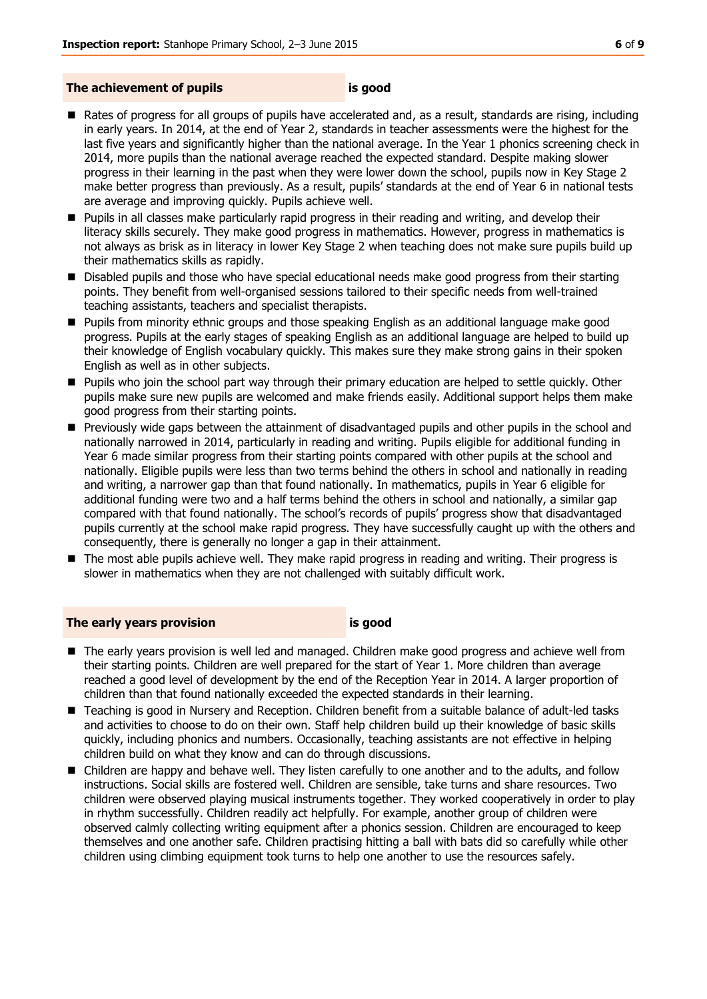#### **The achievement of pupils is good**

- Rates of progress for all groups of pupils have accelerated and, as a result, standards are rising, including in early years. In 2014, at the end of Year 2, standards in teacher assessments were the highest for the last five years and significantly higher than the national average. In the Year 1 phonics screening check in 2014, more pupils than the national average reached the expected standard. Despite making slower progress in their learning in the past when they were lower down the school, pupils now in Key Stage 2 make better progress than previously. As a result, pupils' standards at the end of Year 6 in national tests are average and improving quickly. Pupils achieve well.
- **Pupils in all classes make particularly rapid progress in their reading and writing, and develop their** literacy skills securely. They make good progress in mathematics. However, progress in mathematics is not always as brisk as in literacy in lower Key Stage 2 when teaching does not make sure pupils build up their mathematics skills as rapidly.
- **Disabled pupils and those who have special educational needs make good progress from their starting** points. They benefit from well-organised sessions tailored to their specific needs from well-trained teaching assistants, teachers and specialist therapists.
- **Pupils from minority ethnic groups and those speaking English as an additional language make good** progress. Pupils at the early stages of speaking English as an additional language are helped to build up their knowledge of English vocabulary quickly. This makes sure they make strong gains in their spoken English as well as in other subjects.
- **Pupils who join the school part way through their primary education are helped to settle quickly. Other** pupils make sure new pupils are welcomed and make friends easily. Additional support helps them make good progress from their starting points.
- Previously wide gaps between the attainment of disadvantaged pupils and other pupils in the school and nationally narrowed in 2014, particularly in reading and writing. Pupils eligible for additional funding in Year 6 made similar progress from their starting points compared with other pupils at the school and nationally. Eligible pupils were less than two terms behind the others in school and nationally in reading and writing, a narrower gap than that found nationally. In mathematics, pupils in Year 6 eligible for additional funding were two and a half terms behind the others in school and nationally, a similar gap compared with that found nationally. The school's records of pupils' progress show that disadvantaged pupils currently at the school make rapid progress. They have successfully caught up with the others and consequently, there is generally no longer a gap in their attainment.
- **The most able pupils achieve well. They make rapid progress in reading and writing. Their progress is** slower in mathematics when they are not challenged with suitably difficult work.

#### **The early years provision is good**

- The early years provision is well led and managed. Children make good progress and achieve well from their starting points. Children are well prepared for the start of Year 1. More children than average reached a good level of development by the end of the Reception Year in 2014. A larger proportion of children than that found nationally exceeded the expected standards in their learning.
- Teaching is good in Nursery and Reception. Children benefit from a suitable balance of adult-led tasks and activities to choose to do on their own. Staff help children build up their knowledge of basic skills quickly, including phonics and numbers. Occasionally, teaching assistants are not effective in helping children build on what they know and can do through discussions.
- **E** Children are happy and behave well. They listen carefully to one another and to the adults, and follow instructions. Social skills are fostered well. Children are sensible, take turns and share resources. Two children were observed playing musical instruments together. They worked cooperatively in order to play in rhythm successfully. Children readily act helpfully. For example, another group of children were observed calmly collecting writing equipment after a phonics session. Children are encouraged to keep themselves and one another safe. Children practising hitting a ball with bats did so carefully while other children using climbing equipment took turns to help one another to use the resources safely.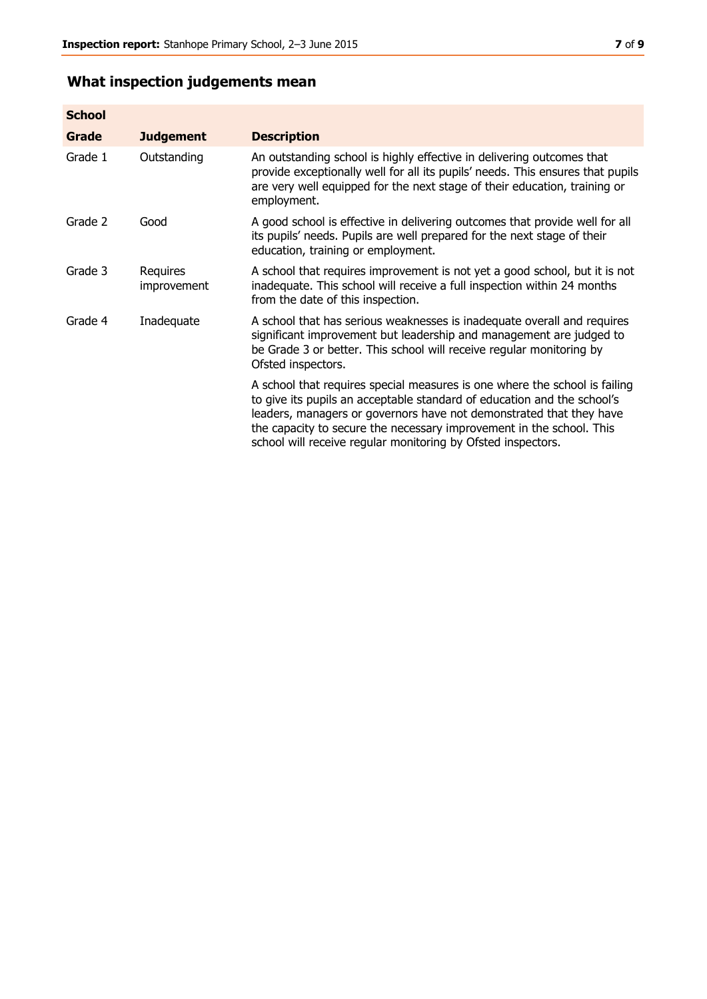# **What inspection judgements mean**

| <b>School</b> |                                |                                                                                                                                                                                                                                                                                                                                                                      |
|---------------|--------------------------------|----------------------------------------------------------------------------------------------------------------------------------------------------------------------------------------------------------------------------------------------------------------------------------------------------------------------------------------------------------------------|
| Grade         | <b>Judgement</b>               | <b>Description</b>                                                                                                                                                                                                                                                                                                                                                   |
| Grade 1       | Outstanding                    | An outstanding school is highly effective in delivering outcomes that<br>provide exceptionally well for all its pupils' needs. This ensures that pupils<br>are very well equipped for the next stage of their education, training or<br>employment.                                                                                                                  |
| Grade 2       | Good                           | A good school is effective in delivering outcomes that provide well for all<br>its pupils' needs. Pupils are well prepared for the next stage of their<br>education, training or employment.                                                                                                                                                                         |
| Grade 3       | <b>Requires</b><br>improvement | A school that requires improvement is not yet a good school, but it is not<br>inadequate. This school will receive a full inspection within 24 months<br>from the date of this inspection.                                                                                                                                                                           |
| Grade 4       | Inadequate                     | A school that has serious weaknesses is inadequate overall and requires<br>significant improvement but leadership and management are judged to<br>be Grade 3 or better. This school will receive regular monitoring by<br>Ofsted inspectors.                                                                                                                         |
|               |                                | A school that requires special measures is one where the school is failing<br>to give its pupils an acceptable standard of education and the school's<br>leaders, managers or governors have not demonstrated that they have<br>the capacity to secure the necessary improvement in the school. This<br>school will receive regular monitoring by Ofsted inspectors. |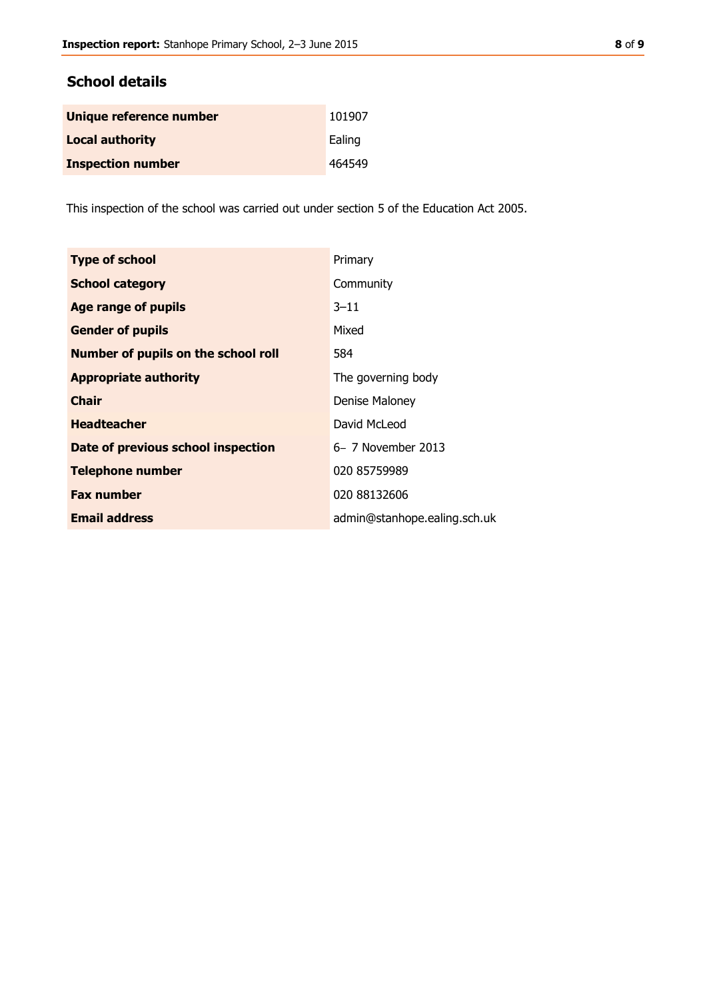# **School details**

| Unique reference number  | 101907 |
|--------------------------|--------|
| <b>Local authority</b>   | Ealing |
| <b>Inspection number</b> | 464549 |

This inspection of the school was carried out under section 5 of the Education Act 2005.

| <b>Type of school</b>                      | Primary                      |
|--------------------------------------------|------------------------------|
| <b>School category</b>                     | Community                    |
| <b>Age range of pupils</b>                 | $3 - 11$                     |
| <b>Gender of pupils</b>                    | Mixed                        |
| <b>Number of pupils on the school roll</b> | 584                          |
| <b>Appropriate authority</b>               | The governing body           |
| <b>Chair</b>                               | Denise Maloney               |
| <b>Headteacher</b>                         | David McLeod                 |
| Date of previous school inspection         | 6- 7 November 2013           |
| <b>Telephone number</b>                    | 020 85759989                 |
| <b>Fax number</b>                          | 020 88132606                 |
| <b>Email address</b>                       | admin@stanhope.ealing.sch.uk |